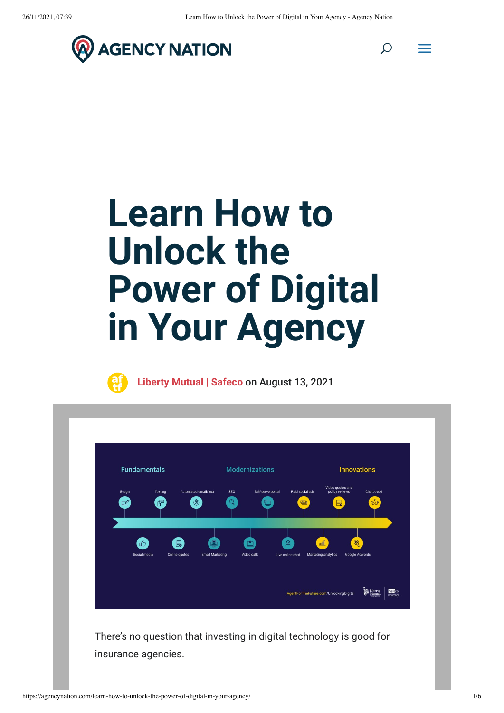$\mathcal{Q}$ 







**Liberty Mutual | Safeco** on August 13, 2021

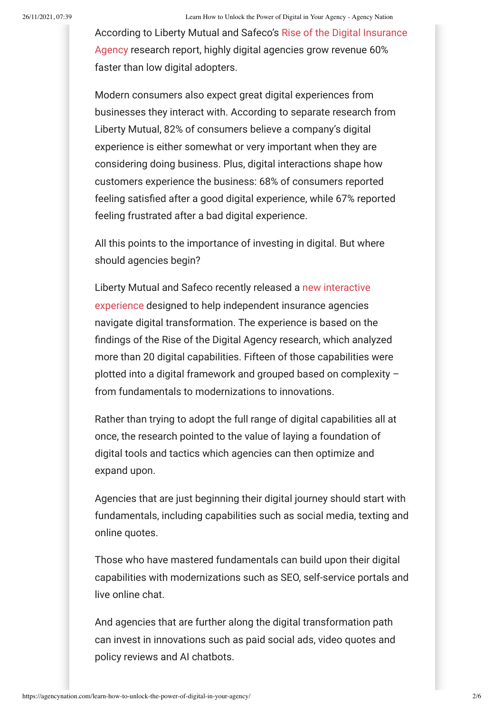According to Liberty Mutual and Safeco's Rise of the Digital Insurance Agency research report, highly digital agencies grow revenue 60% faster than low digital adopters.

Modern consumers also expect great digital experiences from businesses they interact with. According to separate research from Liberty Mutual, 82% of consumers believe a company's digital experience is either somewhat or very important when they are considering doing business. Plus, digital interactions shape how customers experience the business: 68% of consumers reported feeling satisfied after a good digital experience, while 67% reported feeling frustrated after a bad digital experience.

All this points to the importance of investing in digital. But where should agencies begin?

Liberty Mutual and Safeco recently released a new interactive experience designed to help independent insurance agencies navigate digital transformation. The experience is based on the ndings of the Rise of the Digital Agency research, which analyzed more than 20 digital capabilities. Fifteen of those capabilities were plotted into a digital framework and grouped based on complexity – from fundamentals to modernizations to innovations.

Rather than trying to adopt the full range of digital capabilities all at once, the research pointed to the value of laying a foundation of digital tools and tactics which agencies can then optimize and expand upon.

Agencies that are just beginning their digital journey should start with fundamentals, including capabilities such as social media, texting and online quotes.

Those who have mastered fundamentals can build upon their digital capabilities with modernizations such as SEO, self-service portals and live online chat.

And agencies that are further along the digital transformation path can invest in innovations such as paid social ads, video quotes and policy reviews and AI chatbots.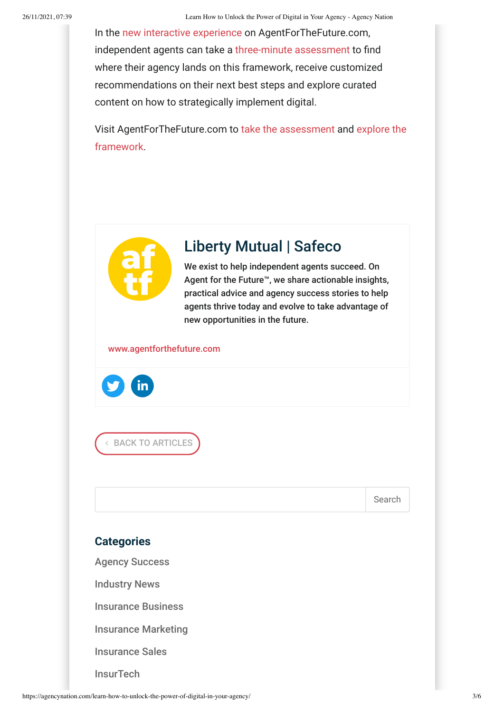In the new interactive experience on AgentForTheFuture.com, independent agents can take a three-minute assessment to find where their agency lands on this framework, receive customized recommendations on their next best steps and explore curated content on how to strategically implement digital.

Visit AgentForTheFuture.com to take the assessment and explore the framework.



### Liberty Mutual | Safeco

We exist to help independent agents succeed. On Agent for the Future™, we share actionable insights, practical advice and agency success stories to help agents thrive today and evolve to take advantage of new opportunities in the future.

www.agentforthefuture.com



4 BACK TO ARTICLES

Search

### **Categories**

Agency Success

Industry News

Insurance Business

Insurance Marketing

Insurance Sales

**InsurTech**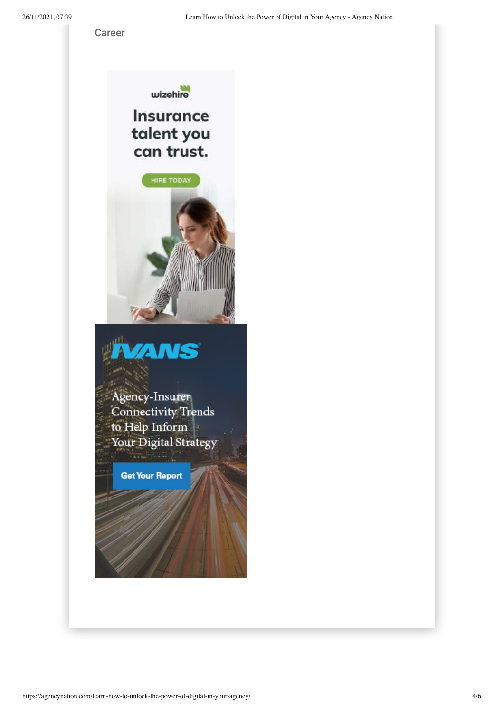Career



## **Insurance** talent you can trust.





Agency-Insurer **Connectivity Trends** to Help Inform Your Digital Strategy

**Get Your Report**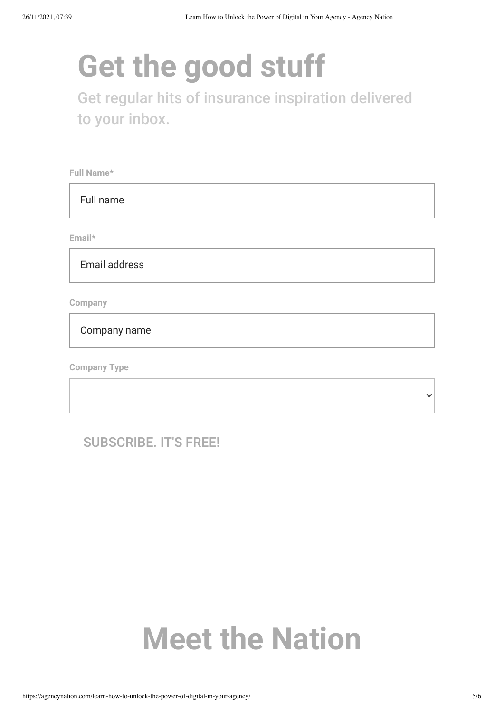# **Get the good stuff**

Get regular hits of insurance inspiration delivered to your inbox.

**Full Name\***

Full name

**Email\***

Email address

**Company**

Company name

**Company Type**

SUBSCRIBE. IT'S FREE!

## **Meet the Nation**

 $\checkmark$